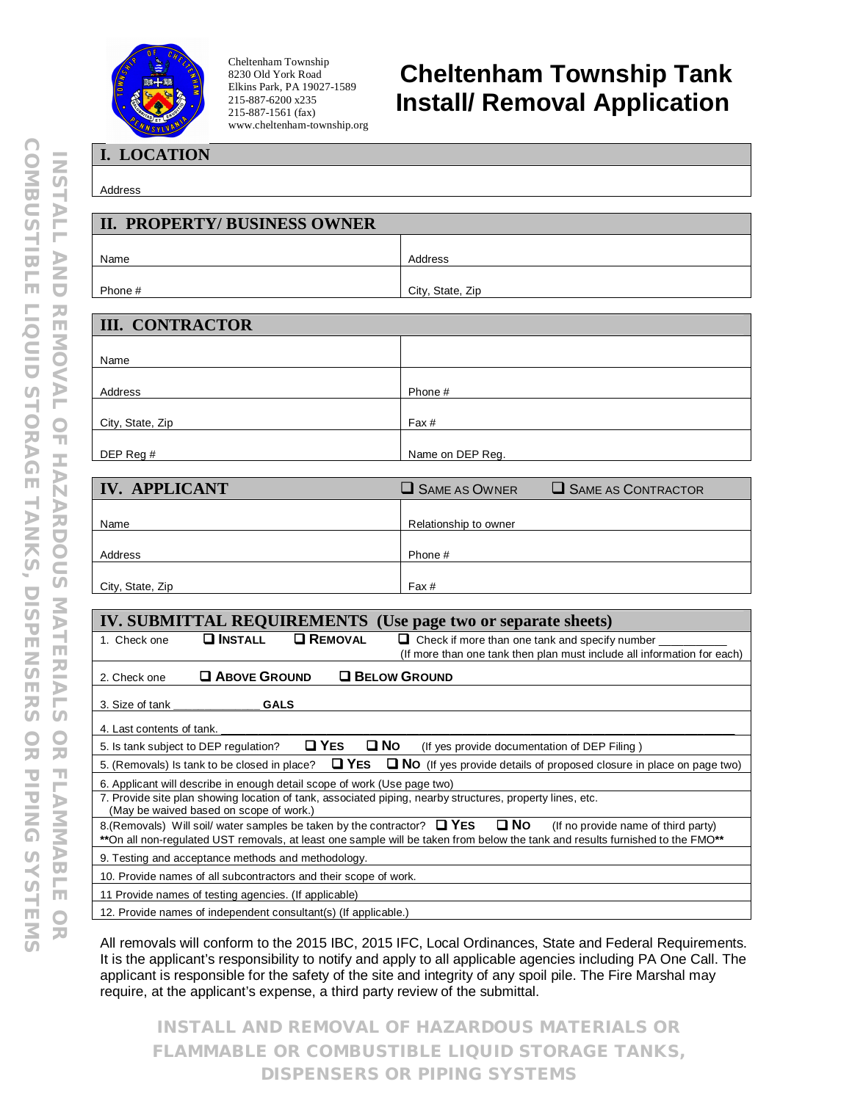

Cheltenham Township 8230 Old York Road Elkins Park, PA 19027-1589 215-887-6200 x235 215-887-1561 (fax) www.cheltenham-township.org

## **Cheltenham Township Tank Install/ Removal Application**

**I. LOCATION**

Address

| <b>II. PROPERTY/BUSINESS OWNER</b> |                  |  |
|------------------------------------|------------------|--|
| Name                               | Address          |  |
| Phone #                            | City, State, Zip |  |

| <b>III. CONTRACTOR</b> |                  |  |  |
|------------------------|------------------|--|--|
|                        |                  |  |  |
| Name                   |                  |  |  |
| Address                | Phone #          |  |  |
|                        |                  |  |  |
| City, State, Zip       | Fax#             |  |  |
| DEP Reg #              | Name on DEP Reg. |  |  |

| <b>IV. APPLICANT</b> | SAME AS OWNER         | $\Box$ SAME AS CONTRACTOR |
|----------------------|-----------------------|---------------------------|
| Name                 | Relationship to owner |                           |
|                      |                       |                           |
| Address              | Phone #               |                           |
| City, State, Zip     | Fax#                  |                           |

| <b>IV. SUBMITTAL REQUIREMENTS</b> (Use page two or separate sheets)                                                                                                                                                                                             |  |  |  |  |
|-----------------------------------------------------------------------------------------------------------------------------------------------------------------------------------------------------------------------------------------------------------------|--|--|--|--|
| <b>O</b> REMOVAL<br>$\square$ Install<br>$\Box$ Check if more than one tank and specify number $\Box$<br>1. Check one                                                                                                                                           |  |  |  |  |
| (If more than one tank then plan must include all information for each)                                                                                                                                                                                         |  |  |  |  |
| <b>Q ABOVE GROUND</b><br><b>Q BELOW GROUND</b><br>2. Check one                                                                                                                                                                                                  |  |  |  |  |
| 3. Size of tank<br><b>GALS</b>                                                                                                                                                                                                                                  |  |  |  |  |
| 4. Last contents of tank. ___                                                                                                                                                                                                                                   |  |  |  |  |
| $\Box$ YES<br>$\square$ No<br>(If yes provide documentation of DEP Filing)<br>5. Is tank subject to DEP regulation?                                                                                                                                             |  |  |  |  |
| $\Box$ Yes<br>$\Box$ NO (If yes provide details of proposed closure in place on page two)<br>5. (Removals) Is tank to be closed in place?                                                                                                                       |  |  |  |  |
| 6. Applicant will describe in enough detail scope of work (Use page two)                                                                                                                                                                                        |  |  |  |  |
| 7. Provide site plan showing location of tank, associated piping, nearby structures, property lines, etc.<br>(May be waived based on scope of work.)                                                                                                            |  |  |  |  |
| 8. (Removals) Will soil/ water samples be taken by the contractor? $\Box$ YES $\Box$ NO<br>(If no provide name of third party)<br>**On all non-regulated UST removals, at least one sample will be taken from below the tank and results furnished to the FMO** |  |  |  |  |
| 9. Testing and acceptance methods and methodology.                                                                                                                                                                                                              |  |  |  |  |
| 10. Provide names of all subcontractors and their scope of work.                                                                                                                                                                                                |  |  |  |  |
| 11 Provide names of testing agencies. (If applicable)                                                                                                                                                                                                           |  |  |  |  |
| 12. Provide names of independent consultant(s) (If applicable.)                                                                                                                                                                                                 |  |  |  |  |

All removals will conform to the 2015 IBC, 2015 IFC, Local Ordinances, State and Federal Requirements. It is the applicant's responsibility to notify and apply to all applicable agencies including PA One Call. The applicant is responsible for the safety of the site and integrity of any spoil pile. The Fire Marshal may require, at the applicant's expense, a third party review of the submittal.

**INSTALL AND REMOVAL OF HAZARDOUS MATERIALS OR FLAMMABLE OR COMBUSTIBLE LIQUID STORAGE TANKS, DISPENSERS OR PIPING SYSTEMS**